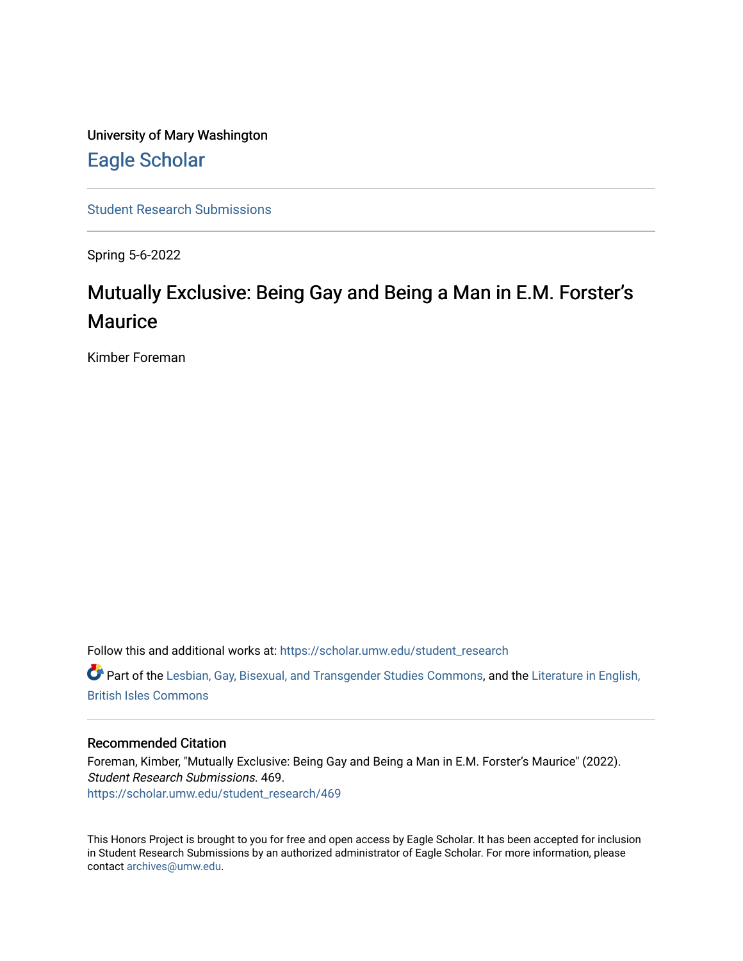University of Mary Washington [Eagle Scholar](https://scholar.umw.edu/) 

[Student Research Submissions](https://scholar.umw.edu/student_research) 

Spring 5-6-2022

## Mutually Exclusive: Being Gay and Being a Man in E.M. Forster's **Maurice**

Kimber Foreman

Follow this and additional works at: [https://scholar.umw.edu/student\\_research](https://scholar.umw.edu/student_research?utm_source=scholar.umw.edu%2Fstudent_research%2F469&utm_medium=PDF&utm_campaign=PDFCoverPages)

Part of the [Lesbian, Gay, Bisexual, and Transgender Studies Commons](https://network.bepress.com/hgg/discipline/560?utm_source=scholar.umw.edu%2Fstudent_research%2F469&utm_medium=PDF&utm_campaign=PDFCoverPages), and the [Literature in English,](https://network.bepress.com/hgg/discipline/456?utm_source=scholar.umw.edu%2Fstudent_research%2F469&utm_medium=PDF&utm_campaign=PDFCoverPages)  [British Isles Commons](https://network.bepress.com/hgg/discipline/456?utm_source=scholar.umw.edu%2Fstudent_research%2F469&utm_medium=PDF&utm_campaign=PDFCoverPages)

## Recommended Citation

Foreman, Kimber, "Mutually Exclusive: Being Gay and Being a Man in E.M. Forster's Maurice" (2022). Student Research Submissions. 469. [https://scholar.umw.edu/student\\_research/469](https://scholar.umw.edu/student_research/469?utm_source=scholar.umw.edu%2Fstudent_research%2F469&utm_medium=PDF&utm_campaign=PDFCoverPages)

This Honors Project is brought to you for free and open access by Eagle Scholar. It has been accepted for inclusion in Student Research Submissions by an authorized administrator of Eagle Scholar. For more information, please contact [archives@umw.edu](mailto:archives@umw.edu).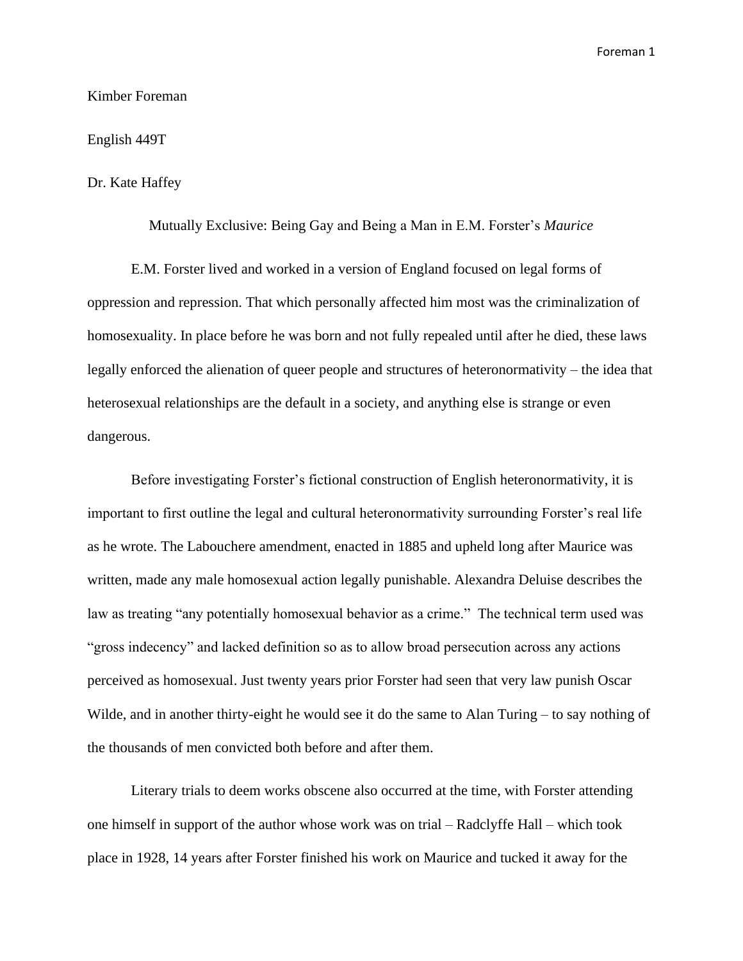Kimber Foreman

English 449T

Dr. Kate Haffey

Mutually Exclusive: Being Gay and Being a Man in E.M. Forster's *Maurice*

E.M. Forster lived and worked in a version of England focused on legal forms of oppression and repression. That which personally affected him most was the criminalization of homosexuality. In place before he was born and not fully repealed until after he died, these laws legally enforced the alienation of queer people and structures of heteronormativity – the idea that heterosexual relationships are the default in a society, and anything else is strange or even dangerous.

Before investigating Forster's fictional construction of English heteronormativity, it is important to first outline the legal and cultural heteronormativity surrounding Forster's real life as he wrote. The Labouchere amendment, enacted in 1885 and upheld long after Maurice was written, made any male homosexual action legally punishable. Alexandra Deluise describes the law as treating "any potentially homosexual behavior as a crime." The technical term used was "gross indecency" and lacked definition so as to allow broad persecution across any actions perceived as homosexual. Just twenty years prior Forster had seen that very law punish Oscar Wilde, and in another thirty-eight he would see it do the same to Alan Turing – to say nothing of the thousands of men convicted both before and after them.

Literary trials to deem works obscene also occurred at the time, with Forster attending one himself in support of the author whose work was on trial – Radclyffe Hall – which took place in 1928, 14 years after Forster finished his work on Maurice and tucked it away for the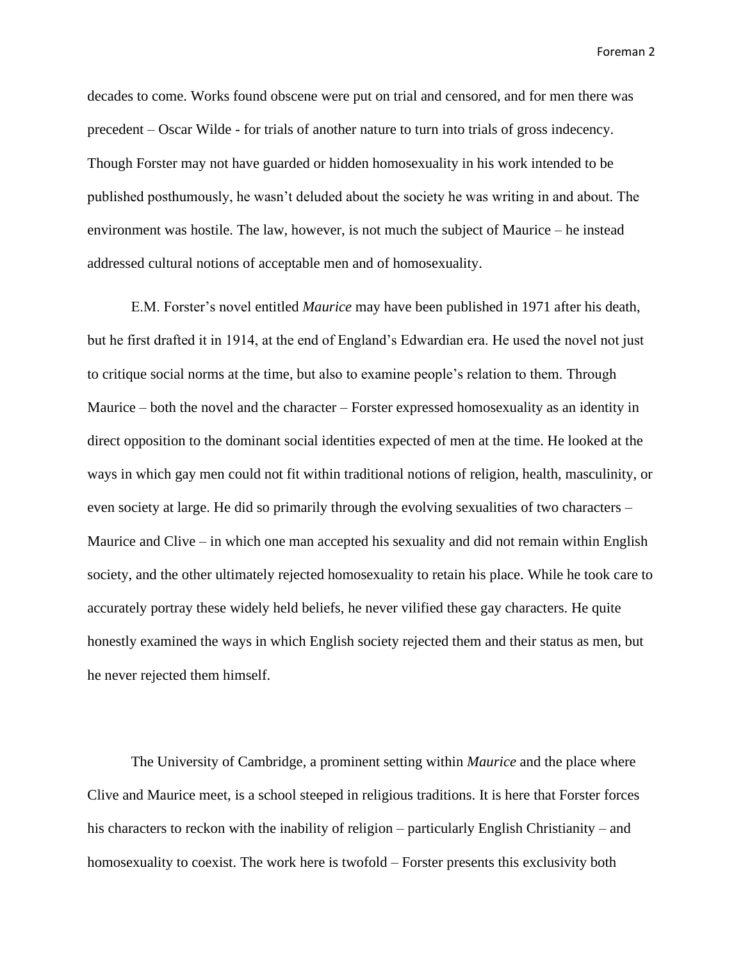decades to come. Works found obscene were put on trial and censored, and for men there was precedent – Oscar Wilde - for trials of another nature to turn into trials of gross indecency. Though Forster may not have guarded or hidden homosexuality in his work intended to be published posthumously, he wasn't deluded about the society he was writing in and about. The environment was hostile. The law, however, is not much the subject of Maurice – he instead addressed cultural notions of acceptable men and of homosexuality.

E.M. Forster's novel entitled *Maurice* may have been published in 1971 after his death, but he first drafted it in 1914, at the end of England's Edwardian era. He used the novel not just to critique social norms at the time, but also to examine people's relation to them. Through Maurice – both the novel and the character – Forster expressed homosexuality as an identity in direct opposition to the dominant social identities expected of men at the time. He looked at the ways in which gay men could not fit within traditional notions of religion, health, masculinity, or even society at large. He did so primarily through the evolving sexualities of two characters – Maurice and Clive – in which one man accepted his sexuality and did not remain within English society, and the other ultimately rejected homosexuality to retain his place. While he took care to accurately portray these widely held beliefs, he never vilified these gay characters. He quite honestly examined the ways in which English society rejected them and their status as men, but he never rejected them himself.

The University of Cambridge, a prominent setting within *Maurice* and the place where Clive and Maurice meet, is a school steeped in religious traditions. It is here that Forster forces his characters to reckon with the inability of religion – particularly English Christianity – and homosexuality to coexist. The work here is twofold – Forster presents this exclusivity both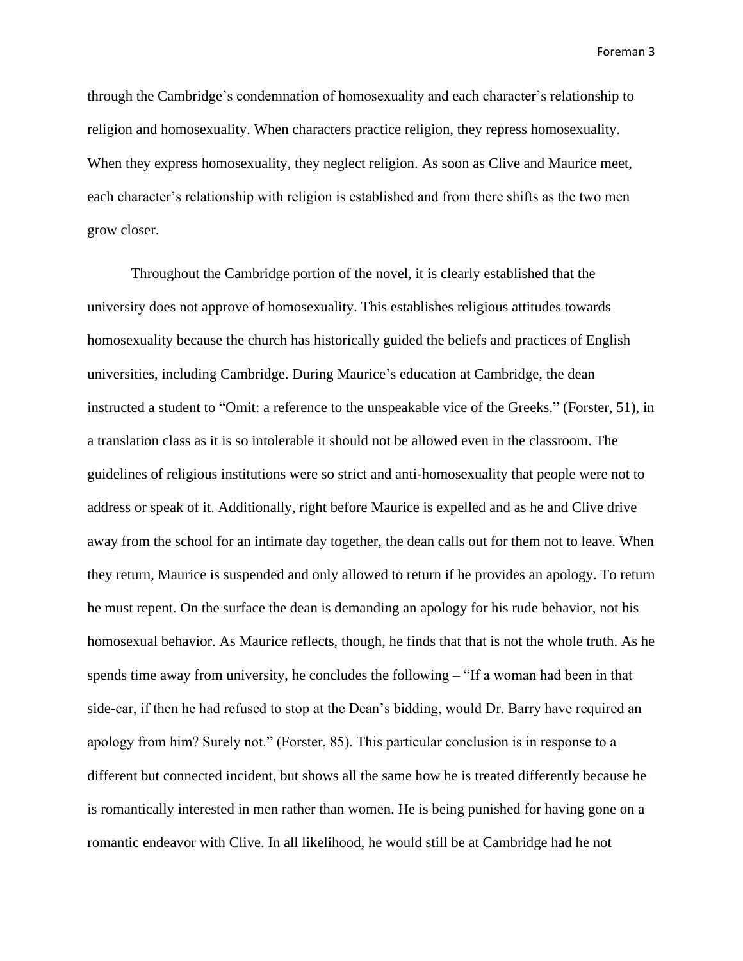through the Cambridge's condemnation of homosexuality and each character's relationship to religion and homosexuality. When characters practice religion, they repress homosexuality. When they express homosexuality, they neglect religion. As soon as Clive and Maurice meet, each character's relationship with religion is established and from there shifts as the two men grow closer.

Throughout the Cambridge portion of the novel, it is clearly established that the university does not approve of homosexuality. This establishes religious attitudes towards homosexuality because the church has historically guided the beliefs and practices of English universities, including Cambridge. During Maurice's education at Cambridge, the dean instructed a student to "Omit: a reference to the unspeakable vice of the Greeks." (Forster, 51), in a translation class as it is so intolerable it should not be allowed even in the classroom. The guidelines of religious institutions were so strict and anti-homosexuality that people were not to address or speak of it. Additionally, right before Maurice is expelled and as he and Clive drive away from the school for an intimate day together, the dean calls out for them not to leave. When they return, Maurice is suspended and only allowed to return if he provides an apology. To return he must repent. On the surface the dean is demanding an apology for his rude behavior, not his homosexual behavior. As Maurice reflects, though, he finds that that is not the whole truth. As he spends time away from university, he concludes the following – "If a woman had been in that side-car, if then he had refused to stop at the Dean's bidding, would Dr. Barry have required an apology from him? Surely not." (Forster, 85). This particular conclusion is in response to a different but connected incident, but shows all the same how he is treated differently because he is romantically interested in men rather than women. He is being punished for having gone on a romantic endeavor with Clive. In all likelihood, he would still be at Cambridge had he not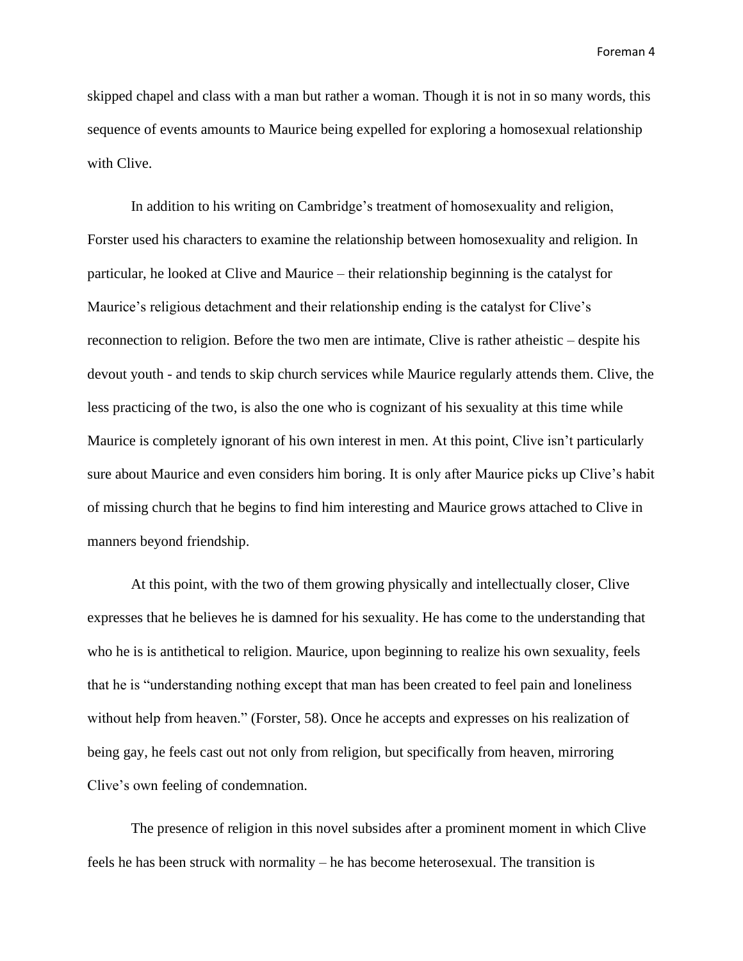skipped chapel and class with a man but rather a woman. Though it is not in so many words, this sequence of events amounts to Maurice being expelled for exploring a homosexual relationship with Clive.

In addition to his writing on Cambridge's treatment of homosexuality and religion, Forster used his characters to examine the relationship between homosexuality and religion. In particular, he looked at Clive and Maurice – their relationship beginning is the catalyst for Maurice's religious detachment and their relationship ending is the catalyst for Clive's reconnection to religion. Before the two men are intimate, Clive is rather atheistic – despite his devout youth - and tends to skip church services while Maurice regularly attends them. Clive, the less practicing of the two, is also the one who is cognizant of his sexuality at this time while Maurice is completely ignorant of his own interest in men. At this point, Clive isn't particularly sure about Maurice and even considers him boring. It is only after Maurice picks up Clive's habit of missing church that he begins to find him interesting and Maurice grows attached to Clive in manners beyond friendship.

At this point, with the two of them growing physically and intellectually closer, Clive expresses that he believes he is damned for his sexuality. He has come to the understanding that who he is is antithetical to religion. Maurice, upon beginning to realize his own sexuality, feels that he is "understanding nothing except that man has been created to feel pain and loneliness without help from heaven." (Forster, 58). Once he accepts and expresses on his realization of being gay, he feels cast out not only from religion, but specifically from heaven, mirroring Clive's own feeling of condemnation.

The presence of religion in this novel subsides after a prominent moment in which Clive feels he has been struck with normality – he has become heterosexual. The transition is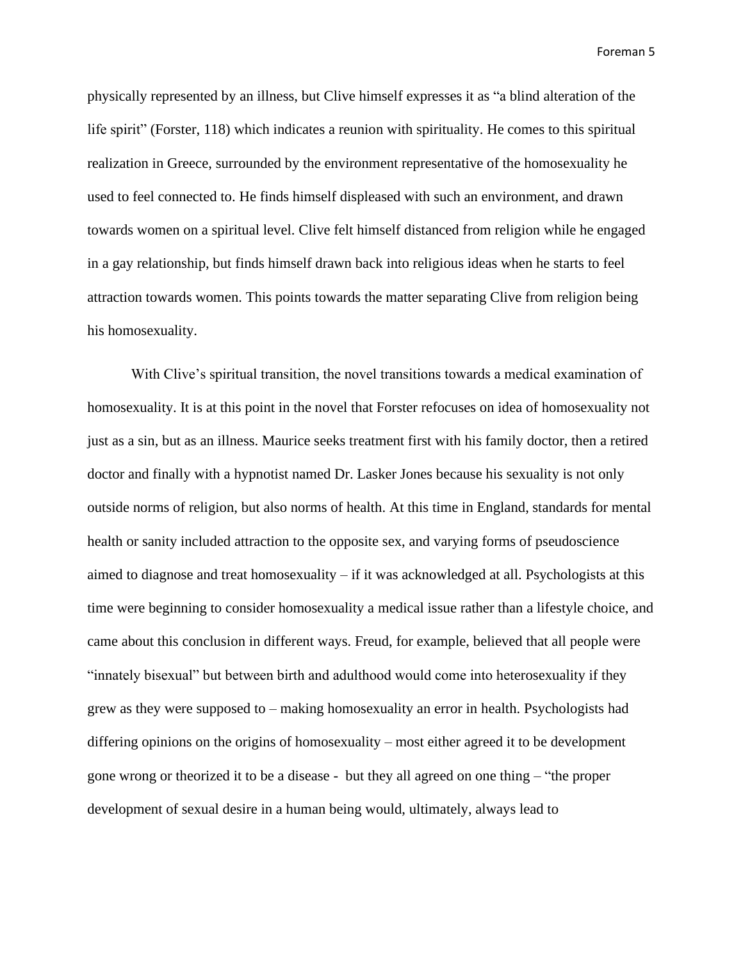physically represented by an illness, but Clive himself expresses it as "a blind alteration of the life spirit" (Forster, 118) which indicates a reunion with spirituality. He comes to this spiritual realization in Greece, surrounded by the environment representative of the homosexuality he used to feel connected to. He finds himself displeased with such an environment, and drawn towards women on a spiritual level. Clive felt himself distanced from religion while he engaged in a gay relationship, but finds himself drawn back into religious ideas when he starts to feel attraction towards women. This points towards the matter separating Clive from religion being his homosexuality.

With Clive's spiritual transition, the novel transitions towards a medical examination of homosexuality. It is at this point in the novel that Forster refocuses on idea of homosexuality not just as a sin, but as an illness. Maurice seeks treatment first with his family doctor, then a retired doctor and finally with a hypnotist named Dr. Lasker Jones because his sexuality is not only outside norms of religion, but also norms of health. At this time in England, standards for mental health or sanity included attraction to the opposite sex, and varying forms of pseudoscience aimed to diagnose and treat homosexuality – if it was acknowledged at all. Psychologists at this time were beginning to consider homosexuality a medical issue rather than a lifestyle choice, and came about this conclusion in different ways. Freud, for example, believed that all people were "innately bisexual" but between birth and adulthood would come into heterosexuality if they grew as they were supposed to – making homosexuality an error in health. Psychologists had differing opinions on the origins of homosexuality – most either agreed it to be development gone wrong or theorized it to be a disease - but they all agreed on one thing – "the proper development of sexual desire in a human being would, ultimately, always lead to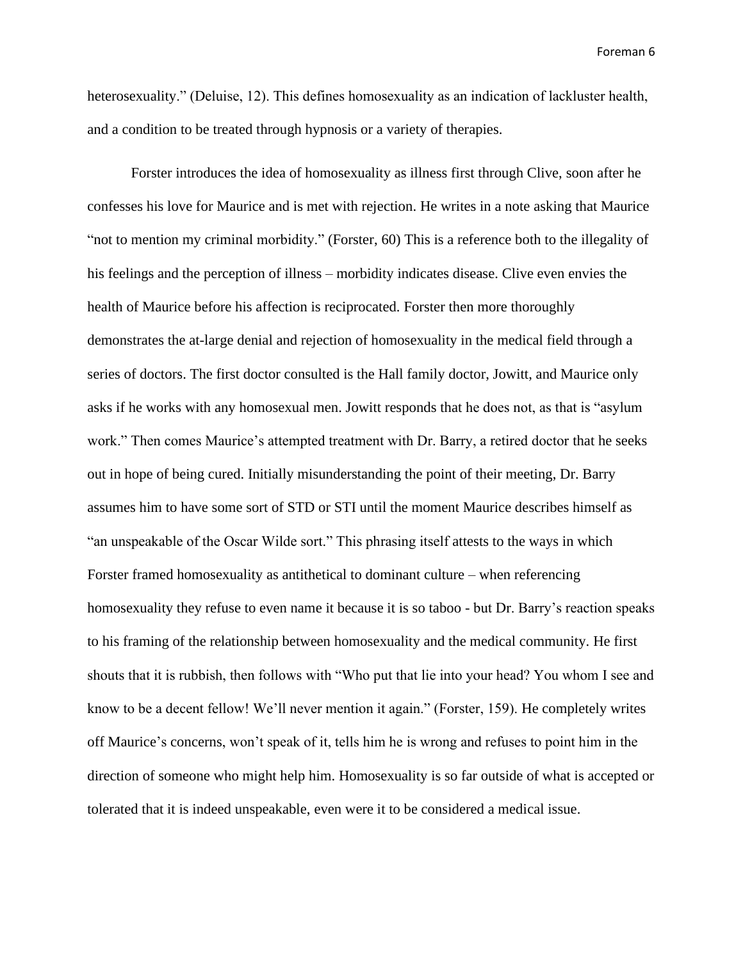heterosexuality." (Deluise, 12). This defines homosexuality as an indication of lackluster health, and a condition to be treated through hypnosis or a variety of therapies.

Forster introduces the idea of homosexuality as illness first through Clive, soon after he confesses his love for Maurice and is met with rejection. He writes in a note asking that Maurice "not to mention my criminal morbidity." (Forster, 60) This is a reference both to the illegality of his feelings and the perception of illness – morbidity indicates disease. Clive even envies the health of Maurice before his affection is reciprocated. Forster then more thoroughly demonstrates the at-large denial and rejection of homosexuality in the medical field through a series of doctors. The first doctor consulted is the Hall family doctor, Jowitt, and Maurice only asks if he works with any homosexual men. Jowitt responds that he does not, as that is "asylum work." Then comes Maurice's attempted treatment with Dr. Barry, a retired doctor that he seeks out in hope of being cured. Initially misunderstanding the point of their meeting, Dr. Barry assumes him to have some sort of STD or STI until the moment Maurice describes himself as "an unspeakable of the Oscar Wilde sort." This phrasing itself attests to the ways in which Forster framed homosexuality as antithetical to dominant culture – when referencing homosexuality they refuse to even name it because it is so taboo - but Dr. Barry's reaction speaks to his framing of the relationship between homosexuality and the medical community. He first shouts that it is rubbish, then follows with "Who put that lie into your head? You whom I see and know to be a decent fellow! We'll never mention it again." (Forster, 159). He completely writes off Maurice's concerns, won't speak of it, tells him he is wrong and refuses to point him in the direction of someone who might help him. Homosexuality is so far outside of what is accepted or tolerated that it is indeed unspeakable, even were it to be considered a medical issue.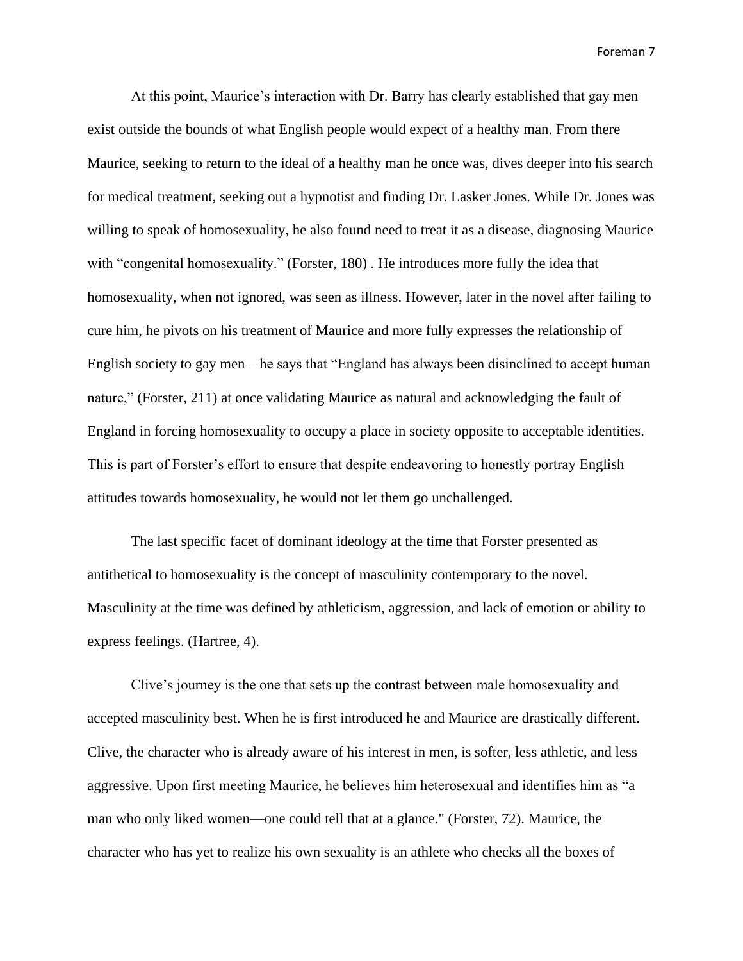At this point, Maurice's interaction with Dr. Barry has clearly established that gay men exist outside the bounds of what English people would expect of a healthy man. From there Maurice, seeking to return to the ideal of a healthy man he once was, dives deeper into his search for medical treatment, seeking out a hypnotist and finding Dr. Lasker Jones. While Dr. Jones was willing to speak of homosexuality, he also found need to treat it as a disease, diagnosing Maurice with "congenital homosexuality." (Forster, 180). He introduces more fully the idea that homosexuality, when not ignored, was seen as illness. However, later in the novel after failing to cure him, he pivots on his treatment of Maurice and more fully expresses the relationship of English society to gay men – he says that "England has always been disinclined to accept human nature," (Forster, 211) at once validating Maurice as natural and acknowledging the fault of England in forcing homosexuality to occupy a place in society opposite to acceptable identities. This is part of Forster's effort to ensure that despite endeavoring to honestly portray English attitudes towards homosexuality, he would not let them go unchallenged.

The last specific facet of dominant ideology at the time that Forster presented as antithetical to homosexuality is the concept of masculinity contemporary to the novel. Masculinity at the time was defined by athleticism, aggression, and lack of emotion or ability to express feelings. (Hartree, 4).

Clive's journey is the one that sets up the contrast between male homosexuality and accepted masculinity best. When he is first introduced he and Maurice are drastically different. Clive, the character who is already aware of his interest in men, is softer, less athletic, and less aggressive. Upon first meeting Maurice, he believes him heterosexual and identifies him as "a man who only liked women—one could tell that at a glance." (Forster, 72). Maurice, the character who has yet to realize his own sexuality is an athlete who checks all the boxes of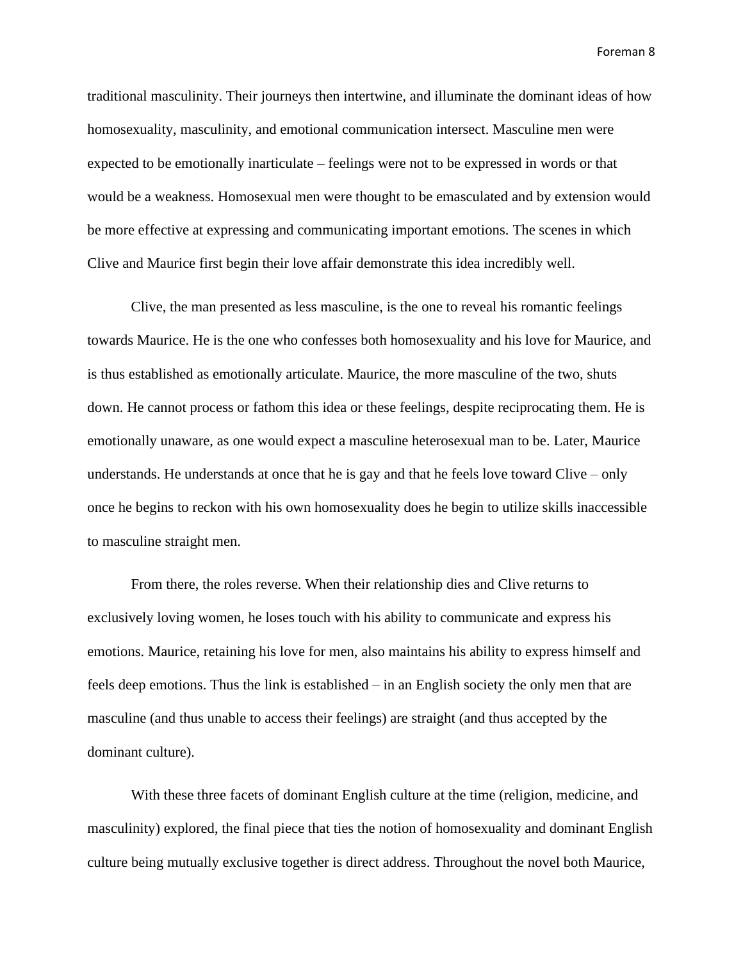traditional masculinity. Their journeys then intertwine, and illuminate the dominant ideas of how homosexuality, masculinity, and emotional communication intersect. Masculine men were expected to be emotionally inarticulate – feelings were not to be expressed in words or that would be a weakness. Homosexual men were thought to be emasculated and by extension would be more effective at expressing and communicating important emotions. The scenes in which Clive and Maurice first begin their love affair demonstrate this idea incredibly well.

Clive, the man presented as less masculine, is the one to reveal his romantic feelings towards Maurice. He is the one who confesses both homosexuality and his love for Maurice, and is thus established as emotionally articulate. Maurice, the more masculine of the two, shuts down. He cannot process or fathom this idea or these feelings, despite reciprocating them. He is emotionally unaware, as one would expect a masculine heterosexual man to be. Later, Maurice understands. He understands at once that he is gay and that he feels love toward Clive – only once he begins to reckon with his own homosexuality does he begin to utilize skills inaccessible to masculine straight men.

From there, the roles reverse. When their relationship dies and Clive returns to exclusively loving women, he loses touch with his ability to communicate and express his emotions. Maurice, retaining his love for men, also maintains his ability to express himself and feels deep emotions. Thus the link is established – in an English society the only men that are masculine (and thus unable to access their feelings) are straight (and thus accepted by the dominant culture).

With these three facets of dominant English culture at the time (religion, medicine, and masculinity) explored, the final piece that ties the notion of homosexuality and dominant English culture being mutually exclusive together is direct address. Throughout the novel both Maurice,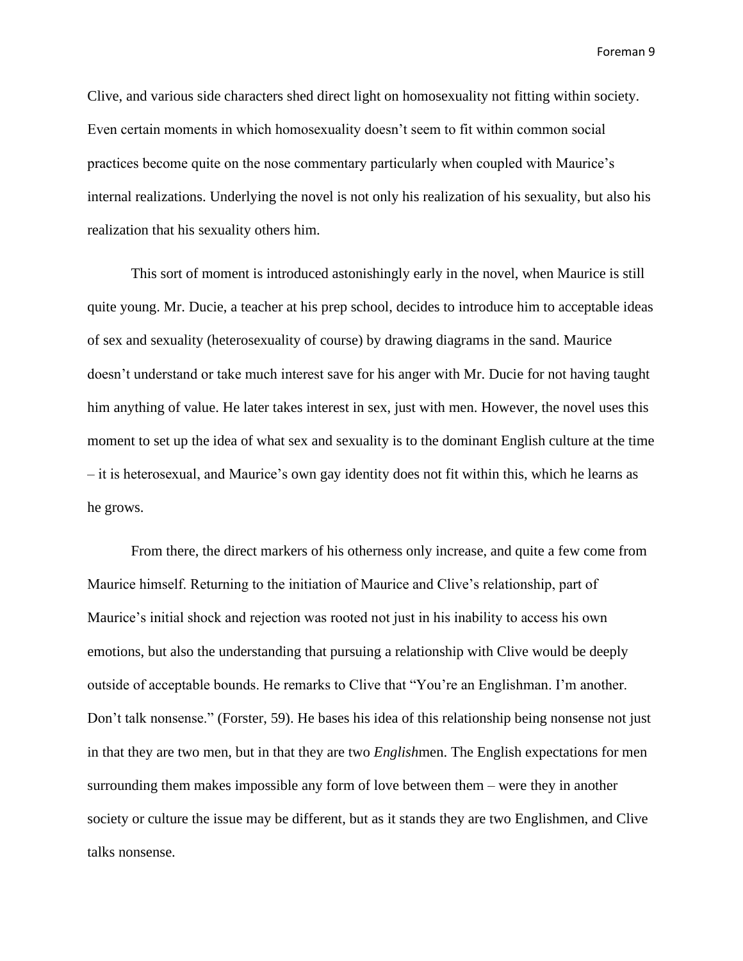Clive, and various side characters shed direct light on homosexuality not fitting within society. Even certain moments in which homosexuality doesn't seem to fit within common social practices become quite on the nose commentary particularly when coupled with Maurice's internal realizations. Underlying the novel is not only his realization of his sexuality, but also his realization that his sexuality others him.

This sort of moment is introduced astonishingly early in the novel, when Maurice is still quite young. Mr. Ducie, a teacher at his prep school, decides to introduce him to acceptable ideas of sex and sexuality (heterosexuality of course) by drawing diagrams in the sand. Maurice doesn't understand or take much interest save for his anger with Mr. Ducie for not having taught him anything of value. He later takes interest in sex, just with men. However, the novel uses this moment to set up the idea of what sex and sexuality is to the dominant English culture at the time – it is heterosexual, and Maurice's own gay identity does not fit within this, which he learns as he grows.

From there, the direct markers of his otherness only increase, and quite a few come from Maurice himself. Returning to the initiation of Maurice and Clive's relationship, part of Maurice's initial shock and rejection was rooted not just in his inability to access his own emotions, but also the understanding that pursuing a relationship with Clive would be deeply outside of acceptable bounds. He remarks to Clive that "You're an Englishman. I'm another. Don't talk nonsense." (Forster, 59). He bases his idea of this relationship being nonsense not just in that they are two men, but in that they are two *English*men. The English expectations for men surrounding them makes impossible any form of love between them – were they in another society or culture the issue may be different, but as it stands they are two Englishmen, and Clive talks nonsense.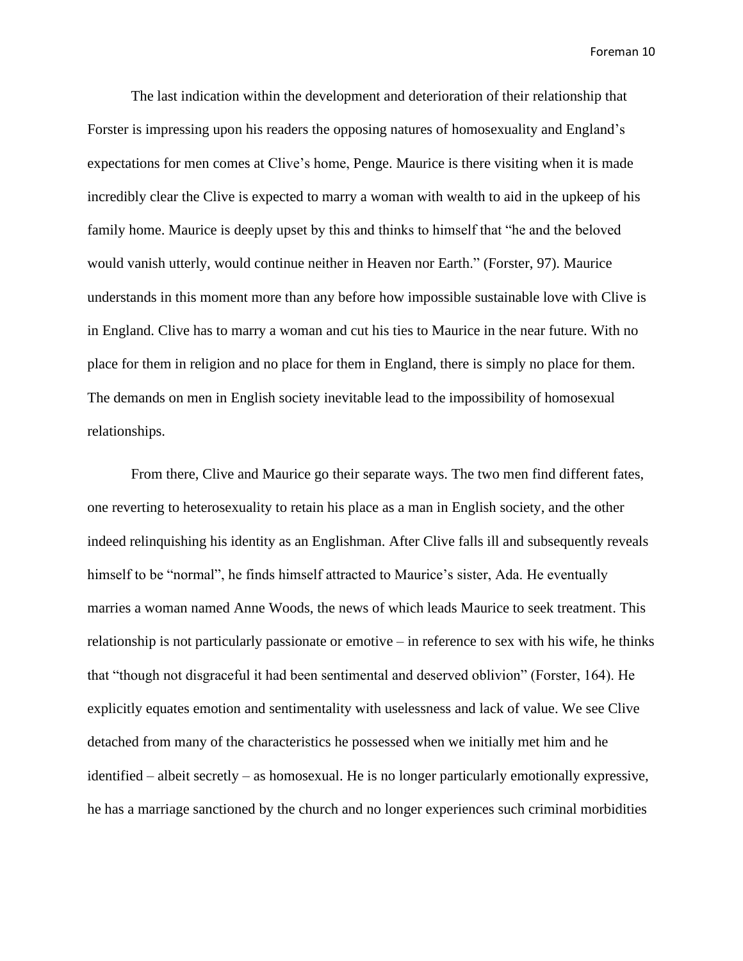The last indication within the development and deterioration of their relationship that Forster is impressing upon his readers the opposing natures of homosexuality and England's expectations for men comes at Clive's home, Penge. Maurice is there visiting when it is made incredibly clear the Clive is expected to marry a woman with wealth to aid in the upkeep of his family home. Maurice is deeply upset by this and thinks to himself that "he and the beloved would vanish utterly, would continue neither in Heaven nor Earth." (Forster, 97). Maurice understands in this moment more than any before how impossible sustainable love with Clive is in England. Clive has to marry a woman and cut his ties to Maurice in the near future. With no place for them in religion and no place for them in England, there is simply no place for them. The demands on men in English society inevitable lead to the impossibility of homosexual relationships.

From there, Clive and Maurice go their separate ways. The two men find different fates, one reverting to heterosexuality to retain his place as a man in English society, and the other indeed relinquishing his identity as an Englishman. After Clive falls ill and subsequently reveals himself to be "normal", he finds himself attracted to Maurice's sister, Ada. He eventually marries a woman named Anne Woods, the news of which leads Maurice to seek treatment. This relationship is not particularly passionate or emotive – in reference to sex with his wife, he thinks that "though not disgraceful it had been sentimental and deserved oblivion" (Forster, 164). He explicitly equates emotion and sentimentality with uselessness and lack of value. We see Clive detached from many of the characteristics he possessed when we initially met him and he identified – albeit secretly – as homosexual. He is no longer particularly emotionally expressive, he has a marriage sanctioned by the church and no longer experiences such criminal morbidities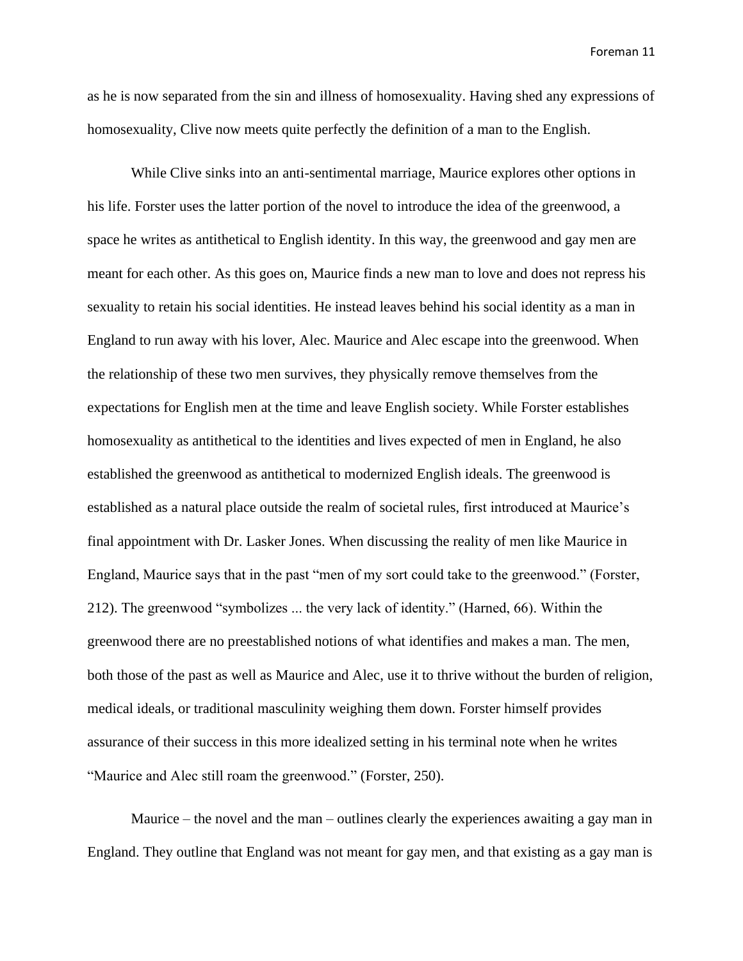as he is now separated from the sin and illness of homosexuality. Having shed any expressions of homosexuality, Clive now meets quite perfectly the definition of a man to the English.

While Clive sinks into an anti-sentimental marriage, Maurice explores other options in his life. Forster uses the latter portion of the novel to introduce the idea of the greenwood, a space he writes as antithetical to English identity. In this way, the greenwood and gay men are meant for each other. As this goes on, Maurice finds a new man to love and does not repress his sexuality to retain his social identities. He instead leaves behind his social identity as a man in England to run away with his lover, Alec. Maurice and Alec escape into the greenwood. When the relationship of these two men survives, they physically remove themselves from the expectations for English men at the time and leave English society. While Forster establishes homosexuality as antithetical to the identities and lives expected of men in England, he also established the greenwood as antithetical to modernized English ideals. The greenwood is established as a natural place outside the realm of societal rules, first introduced at Maurice's final appointment with Dr. Lasker Jones. When discussing the reality of men like Maurice in England, Maurice says that in the past "men of my sort could take to the greenwood." (Forster, 212). The greenwood "symbolizes ... the very lack of identity." (Harned, 66). Within the greenwood there are no preestablished notions of what identifies and makes a man. The men, both those of the past as well as Maurice and Alec, use it to thrive without the burden of religion, medical ideals, or traditional masculinity weighing them down. Forster himself provides assurance of their success in this more idealized setting in his terminal note when he writes "Maurice and Alec still roam the greenwood." (Forster, 250).

Maurice – the novel and the man – outlines clearly the experiences awaiting a gay man in England. They outline that England was not meant for gay men, and that existing as a gay man is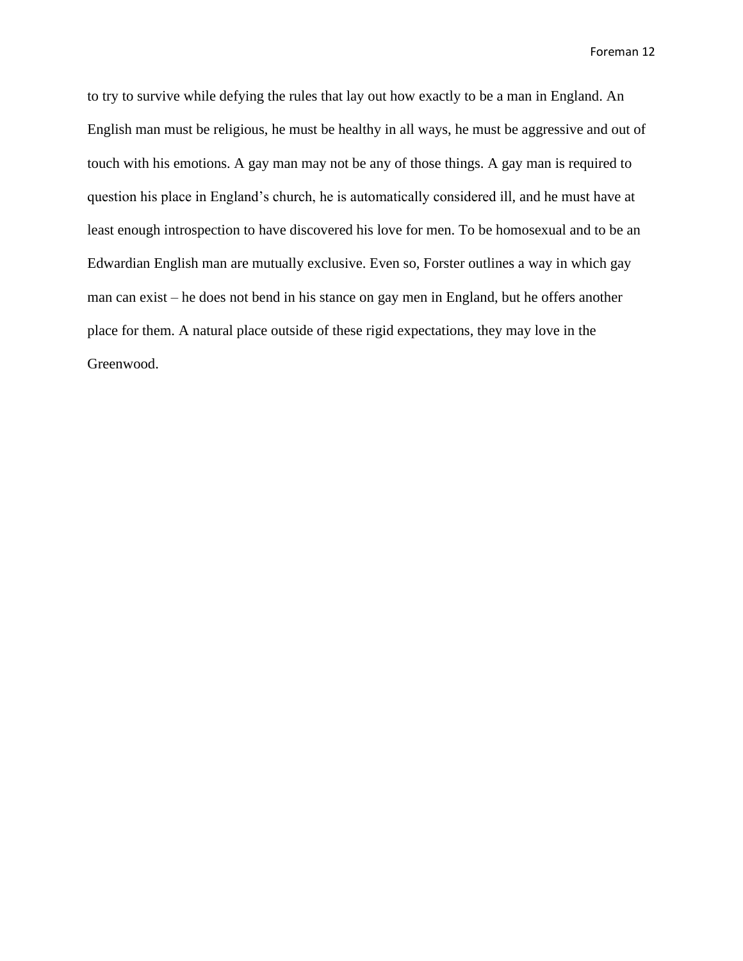to try to survive while defying the rules that lay out how exactly to be a man in England. An English man must be religious, he must be healthy in all ways, he must be aggressive and out of touch with his emotions. A gay man may not be any of those things. A gay man is required to question his place in England's church, he is automatically considered ill, and he must have at least enough introspection to have discovered his love for men. To be homosexual and to be an Edwardian English man are mutually exclusive. Even so, Forster outlines a way in which gay man can exist – he does not bend in his stance on gay men in England, but he offers another place for them. A natural place outside of these rigid expectations, they may love in the Greenwood.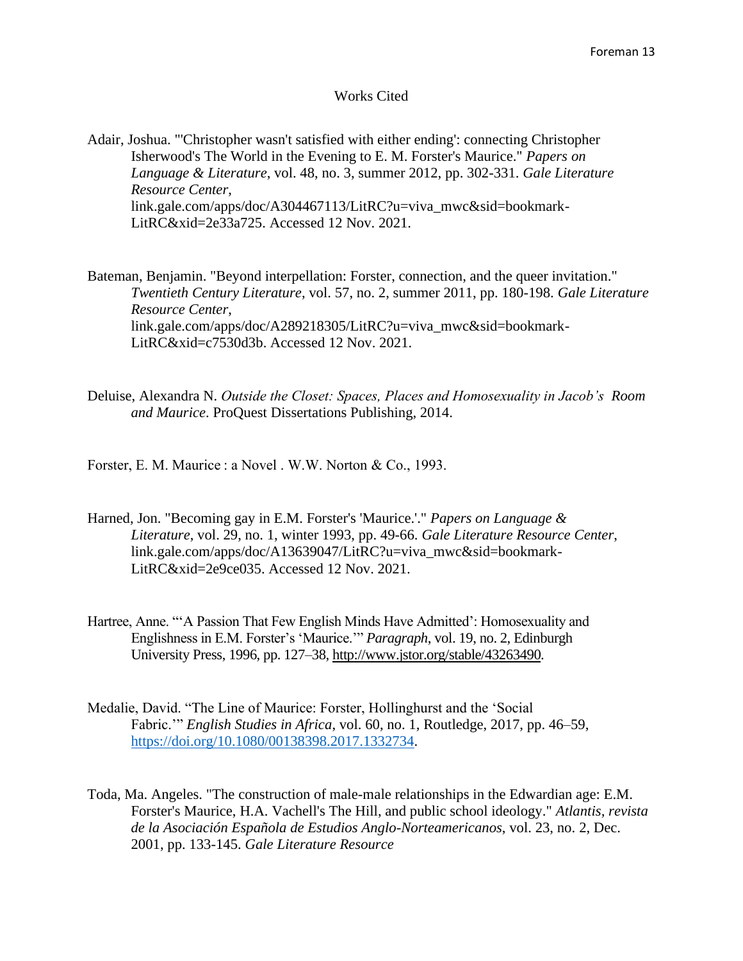## Works Cited

Adair, Joshua. "'Christopher wasn't satisfied with either ending': connecting Christopher Isherwood's The World in the Evening to E. M. Forster's Maurice." *Papers on Language & Literature*, vol. 48, no. 3, summer 2012, pp. 302-331. *Gale Literature Resource Center*, link.gale.com/apps/doc/A304467113/LitRC?u=viva\_mwc&sid=bookmark-LitRC&xid=2e33a725. Accessed 12 Nov. 2021.

Bateman, Benjamin. "Beyond interpellation: Forster, connection, and the queer invitation." *Twentieth Century Literature*, vol. 57, no. 2, summer 2011, pp. 180-198. *Gale Literature Resource Center*, link.gale.com/apps/doc/A289218305/LitRC?u=viva\_mwc&sid=bookmark-LitRC&xid=c7530d3b. Accessed 12 Nov. 2021.

Deluise, Alexandra N. *Outside the Closet: Spaces, Places and Homosexuality in Jacob's Room and Maurice*. ProQuest Dissertations Publishing, 2014.

Forster, E. M. Maurice : a Novel . W.W. Norton & Co., 1993.

- Harned, Jon. "Becoming gay in E.M. Forster's 'Maurice.'." *Papers on Language & Literature*, vol. 29, no. 1, winter 1993, pp. 49-66. *Gale Literature Resource Center*, link.gale.com/apps/doc/A13639047/LitRC?u=viva\_mwc&sid=bookmark-LitRC&xid=2e9ce035. Accessed 12 Nov. 2021.
- Hartree, Anne. "'A Passion That Few English Minds Have Admitted': Homosexuality and Englishness in E.M. Forster's 'Maurice.'" *Paragraph*, vol. 19, no. 2, Edinburgh University Press, 1996, pp. 127–38, [http://www.jstor.org/stable/43263490.](http://www.jstor.org/stable/43263490)
- Medalie, David. "The Line of Maurice: Forster, Hollinghurst and the 'Social Fabric.'" *English Studies in Africa*, vol. 60, no. 1, Routledge, 2017, pp. 46–59, [https://doi.org/10.1080/00138398.2017.1332734.](https://doi.org/10.1080/00138398.2017.1332734)
- Toda, Ma. Angeles. "The construction of male-male relationships in the Edwardian age: E.M. Forster's Maurice, H.A. Vachell's The Hill, and public school ideology." *Atlantis, revista de la Asociación Española de Estudios Anglo-Norteamericanos*, vol. 23, no. 2, Dec. 2001, pp. 133-145. *Gale Literature Resource*